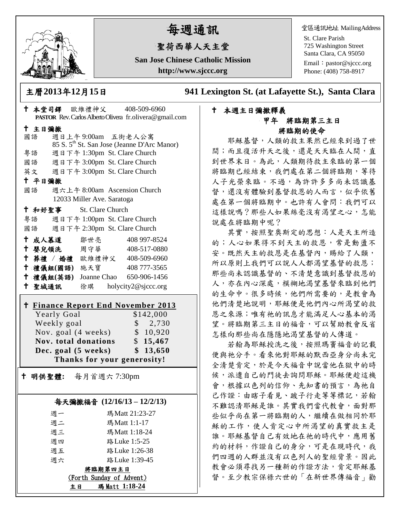

# 每週通訊

## 聖荷西華人天主堂

**San Jose Chinese Catholic Mission http://www.sjccc.org**

堂區通訊地址 MailingAddress

St. Clare Parish 725 Washington Street Santa Clara, CA 95050

Email: [pastor@sjccc.org](mailto:pastor@sjccc.org) Phone: (408) 758-8917

主曆**2013**年**12**月**15**日 **941 Lexington St. (at Lafayette St.), Santa Clara** 

### 本週主日彌撒釋義 甲年 將臨期第三主日 將臨期的使命

耶穌基督,人類的救主果然已經來到過了世 間;而且復活升天之後,還是天天臨在人間,直 到世界末日。為此,人類期待救主來臨的第一個 將臨期已經結束,我們處在第二個將臨期,等待 人子光榮來臨。不過,為許許多多尚未認識基 督,還沒有體驗到基督救恩的人而言,似乎依舊 處在第一個將臨期中。也許有人會問:我們可以 這樣說嗎?那些人如果絲毫沒有渴望之心,怎能 說處在將臨期中呢?

其實,按照聖奧斯定的思想:人是天主所造 的;人心如果得不到天主的救恩,常是動盪不 安。既然天主的救恩是在基督內,賜給了人類, 所以原則上我們可以說人人都渴望基督的救恩; 那些尚未認識基督的、不清楚意識到基督救恩的 人,亦在內心深處,模糊地渴望基督來臨到他們 的生命中。很多時候,他們所需要的,是教會為 他們清楚地說明,耶穌便是他們內心所渴望的救 恩之來源;唯有祂的訊息才能滿足人心基本的渴 望。將臨期第三主日的福音,可以幫助教會反省 怎樣向那些尚在隱隱地渴望基督的人傳道。

若翰為耶穌授洗之後,按照瑪竇福音的記載 便與祂分手。看來他對耶穌的默西亞身分尚未完 全清楚肯定,於是今天福音中說當他在獄中的時 候,派遣自己的門徒去詢問耶穌。耶穌便趁這機 會,根據以色列的信仰、先知書的預言,為祂自 己作證:由瞎子看見、跛子行走等等標記,若翰 不難認清耶穌是誰。其實我們當代教會,面對那 些似乎尚在第一將臨期的人,繼續在做相同於耶 穌的工作,使人肯定心中所渴望的真實救主是 誰。耶穌基督自己有效地在祂的時代中,應用舊 約的材料,作證自己的身分,可是在現時代,我 們四週的人群並沒有以色列人的聖經背景。因此 教會必須尋找另一種新的作證方法,肯定耶穌基 督。至少教宗保祿六世的「在新世界傳福音」勸

|                                                      | † 本堂司鐸 歐維禮神父  408-509-6960<br>PASTOR Rev. Carlos Alberto Olivera fr.olivera@gmail.com |
|------------------------------------------------------|---------------------------------------------------------------------------------------|
|                                                      |                                                                                       |
| 十 主日彌撒<br>國語                                         | 週日上午9:00am 五街老人公寓                                                                     |
|                                                      | 85 S. 5 <sup>th</sup> St. San Jose (Jeanne D'Arc Manor)                               |
| 粤語                                                   | 週日下午 1:30pm St. Clare Church                                                          |
|                                                      | 國語 週日下午 3:00pm St. Clare Church                                                       |
|                                                      | 英文 週日下午 3:00pm St. Clare Church                                                       |
| 十 平日彌撒                                               |                                                                                       |
| 國語                                                   | 週六上午 8:00am Ascension Church                                                          |
|                                                      | 12033 Miller Ave. Saratoga                                                            |
| <sup>†</sup> 和好聖事 St. Clare Church                   |                                                                                       |
|                                                      | 粤語 週日下午 1:00pm St. Clare Church                                                       |
|                                                      | 國語 週日下午 2:30pm St. Clare Church                                                       |
| 十 成人慕道   鄒世亮                                         | 408 997-8524                                                                          |
| ← 嬰兒領洗 周守華                                           | 408-517-0880                                                                          |
|                                                      | † 葬禮 / 婚禮 歐維禮神父 408-509-6960                                                          |
|                                                      | † 禮儀組(國語) 施天寶 408777-3565                                                             |
|                                                      | † 禮儀組(英語) Joanne Chao 650-906-1456                                                    |
|                                                      | + 聖城通訊 徐琪 holycity2@sjccc.org                                                         |
| <u>† Finance Report End November 2013</u>            |                                                                                       |
| Yearly Goal                                          | \$142,000                                                                             |
| Weekly goal                                          | \$2,730<br>\$10,920                                                                   |
| Nov. goal (4 weeks)<br>Nov. total donations \$15,467 |                                                                                       |
| \$13,650<br>Dec. goal (5 weeks)                      |                                                                                       |
| Thanks for your generosity!                          |                                                                                       |
|                                                      |                                                                                       |
|                                                      | † 明供聖體: 每月首週六 7:30pm                                                                  |
|                                                      |                                                                                       |
| 每天彌撒福音 (12/16/13-12/2/13)                            |                                                                                       |
| 週一                                                   | 瑪Matt 21:23-27                                                                        |
| 週二                                                   | 瑪Matt 1:1-17                                                                          |
| 週三                                                   | 瑪Matt 1:18-24                                                                         |
| 週四                                                   | 路 Luke 1:5-25                                                                         |
| 週五                                                   | 路Luke 1:26-38                                                                         |
| 週六                                                   | 路 Luke 1:39-45                                                                        |
| 將臨期第四主日                                              |                                                                                       |
| (Forth Sunday of Advent)                             |                                                                                       |
|                                                      | 瑪 Matt 1:18-24<br>主日                                                                  |